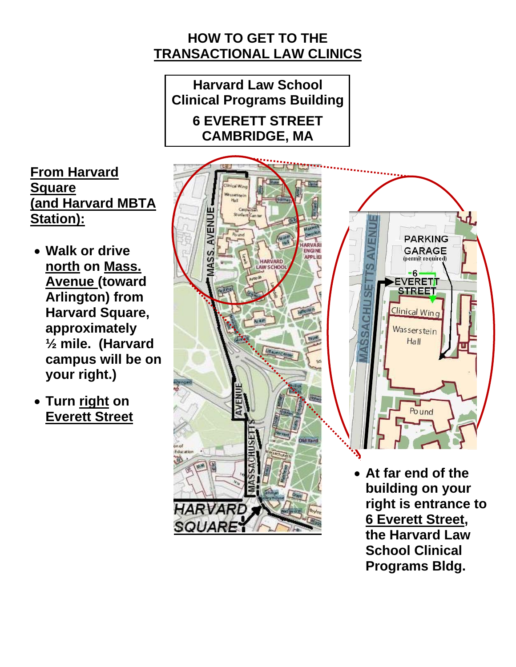## **HOW TO GET TO THE TRANSACTIONAL LAW CLINICS**

**Harvard Law School Clinical Programs Building 6 EVERETT STREET CAMBRIDGE, MA** 



**School Clinical Programs Bldg.** 

**From Harvard Square (and Harvard MBTA Station):**

- **Walk or drive north on Mass. Avenue (toward Arlington) from Harvard Square, approximately ½ mile. (Harvard campus will be on your right.)**
- **Turn right on Everett Street**